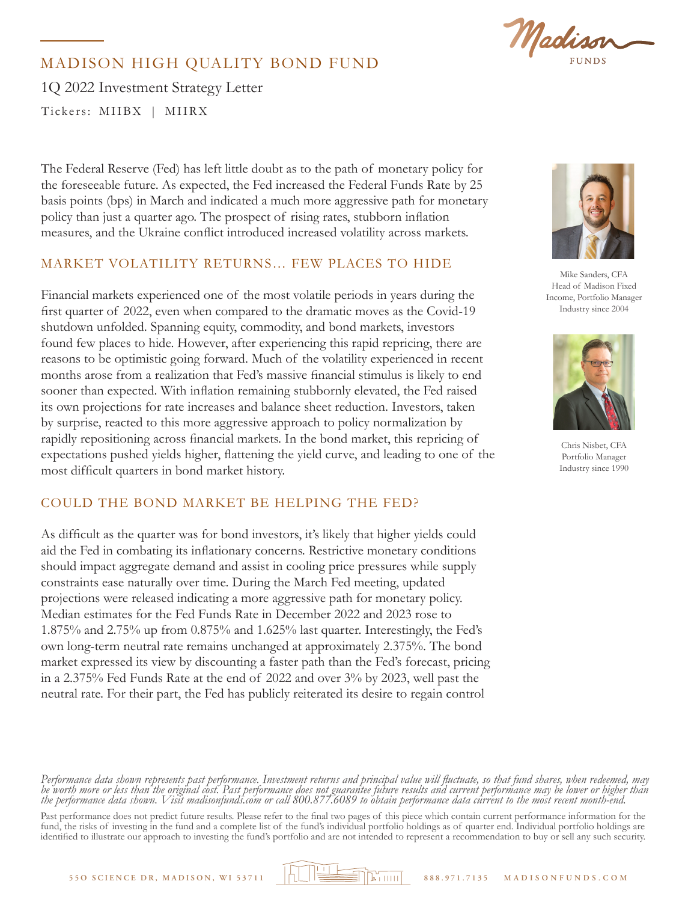

# MADISON HIGH QUALITY BOND FUND

1Q 2022 Investment Strategy Letter Tickers: MIIBX | MIIRX

The Federal Reserve (Fed) has left little doubt as to the path of monetary policy for the foreseeable future. As expected, the Fed increased the Federal Funds Rate by 25 basis points (bps) in March and indicated a much more aggressive path for monetary policy than just a quarter ago. The prospect of rising rates, stubborn inflation measures, and the Ukraine conflict introduced increased volatility across markets.

# MARKET VOLATILITY RETURNS… FEW PLACES TO HIDE

Financial markets experienced one of the most volatile periods in years during the first quarter of 2022, even when compared to the dramatic moves as the Covid-19 shutdown unfolded. Spanning equity, commodity, and bond markets, investors found few places to hide. However, after experiencing this rapid repricing, there are reasons to be optimistic going forward. Much of the volatility experienced in recent months arose from a realization that Fed's massive financial stimulus is likely to end sooner than expected. With inflation remaining stubbornly elevated, the Fed raised its own projections for rate increases and balance sheet reduction. Investors, taken by surprise, reacted to this more aggressive approach to policy normalization by rapidly repositioning across financial markets. In the bond market, this repricing of expectations pushed yields higher, flattening the yield curve, and leading to one of the most difficult quarters in bond market history.

## COULD THE BOND MARKET BE HELPING THE FED?

As difficult as the quarter was for bond investors, it's likely that higher yields could aid the Fed in combating its inflationary concerns. Restrictive monetary conditions should impact aggregate demand and assist in cooling price pressures while supply constraints ease naturally over time. During the March Fed meeting, updated projections were released indicating a more aggressive path for monetary policy. Median estimates for the Fed Funds Rate in December 2022 and 2023 rose to 1.875% and 2.75% up from 0.875% and 1.625% last quarter. Interestingly, the Fed's own long-term neutral rate remains unchanged at approximately 2.375%. The bond market expressed its view by discounting a faster path than the Fed's forecast, pricing in a 2.375% Fed Funds Rate at the end of 2022 and over 3% by 2023, well past the neutral rate. For their part, the Fed has publicly reiterated its desire to regain control



Mike Sanders, CFA Head of Madison Fixed Income, Portfolio Manager Industry since 2004



Chris Nisbet, CFA Portfolio Manager Industry since 1990

*Performance data shown represents past performance. Investment returns and principal value will fluctuate, so that fund shares, when redeemed, may be worth more or less than the original cost. Past performance does not guarantee future results and current performance may be lower or higher than the performance data shown. Visit madisonfunds.com or call 800.877.6089 to obtain performance data current to the most recent month-end.* 

Past performance does not predict future results. Please refer to the final two pages of this piece which contain current performance information for the fund, the risks of investing in the fund and a complete list of the fund's individual portfolio holdings as of quarter end. Individual portfolio holdings are identified to illustrate our approach to investing the fund's portfolio and are not intended to represent a recommendation to buy or sell any such security.

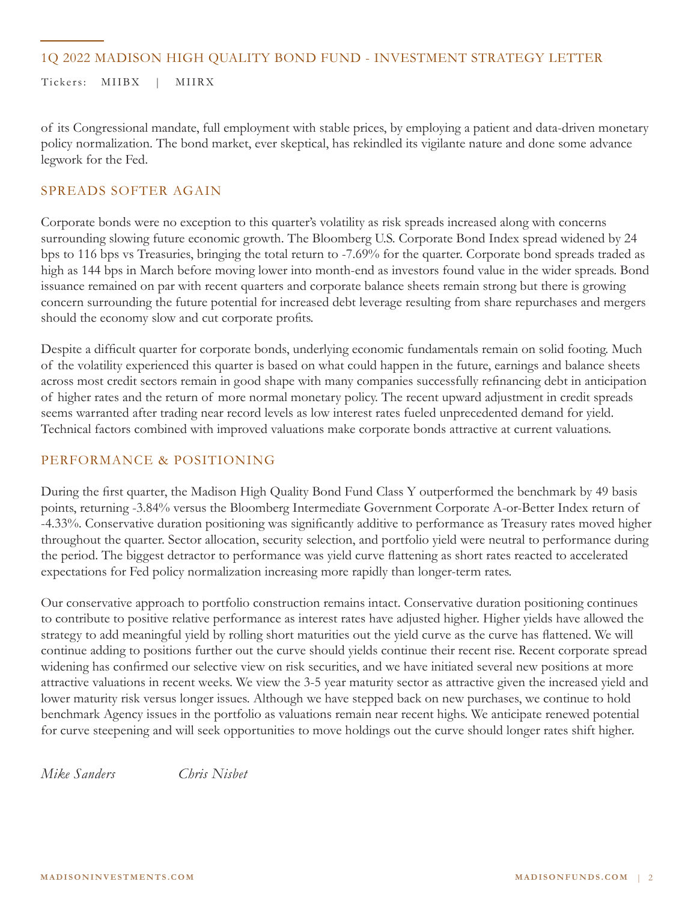# 1Q 2022 MADISON HIGH QUALITY BOND FUND - INVESTMENT STRATEGY LETTER

Tickers: MIIBX | MIIRX

of its Congressional mandate, full employment with stable prices, by employing a patient and data-driven monetary policy normalization. The bond market, ever skeptical, has rekindled its vigilante nature and done some advance legwork for the Fed.

# SPREADS SOFTER AGAIN

Corporate bonds were no exception to this quarter's volatility as risk spreads increased along with concerns surrounding slowing future economic growth. The Bloomberg U.S. Corporate Bond Index spread widened by 24 bps to 116 bps vs Treasuries, bringing the total return to -7.69% for the quarter. Corporate bond spreads traded as high as 144 bps in March before moving lower into month-end as investors found value in the wider spreads. Bond issuance remained on par with recent quarters and corporate balance sheets remain strong but there is growing concern surrounding the future potential for increased debt leverage resulting from share repurchases and mergers should the economy slow and cut corporate profits.

Despite a difficult quarter for corporate bonds, underlying economic fundamentals remain on solid footing. Much of the volatility experienced this quarter is based on what could happen in the future, earnings and balance sheets across most credit sectors remain in good shape with many companies successfully refinancing debt in anticipation of higher rates and the return of more normal monetary policy. The recent upward adjustment in credit spreads seems warranted after trading near record levels as low interest rates fueled unprecedented demand for yield. Technical factors combined with improved valuations make corporate bonds attractive at current valuations.

# PERFORMANCE & POSITIONING

During the first quarter, the Madison High Quality Bond Fund Class Y outperformed the benchmark by 49 basis points, returning -3.84% versus the Bloomberg Intermediate Government Corporate A-or-Better Index return of -4.33%. Conservative duration positioning was significantly additive to performance as Treasury rates moved higher throughout the quarter. Sector allocation, security selection, and portfolio yield were neutral to performance during the period. The biggest detractor to performance was yield curve flattening as short rates reacted to accelerated expectations for Fed policy normalization increasing more rapidly than longer-term rates.

Our conservative approach to portfolio construction remains intact. Conservative duration positioning continues to contribute to positive relative performance as interest rates have adjusted higher. Higher yields have allowed the strategy to add meaningful yield by rolling short maturities out the yield curve as the curve has flattened. We will continue adding to positions further out the curve should yields continue their recent rise. Recent corporate spread widening has confirmed our selective view on risk securities, and we have initiated several new positions at more attractive valuations in recent weeks. We view the 3-5 year maturity sector as attractive given the increased yield and lower maturity risk versus longer issues. Although we have stepped back on new purchases, we continue to hold benchmark Agency issues in the portfolio as valuations remain near recent highs. We anticipate renewed potential for curve steepening and will seek opportunities to move holdings out the curve should longer rates shift higher.

*Mike Sanders Chris Nisbet*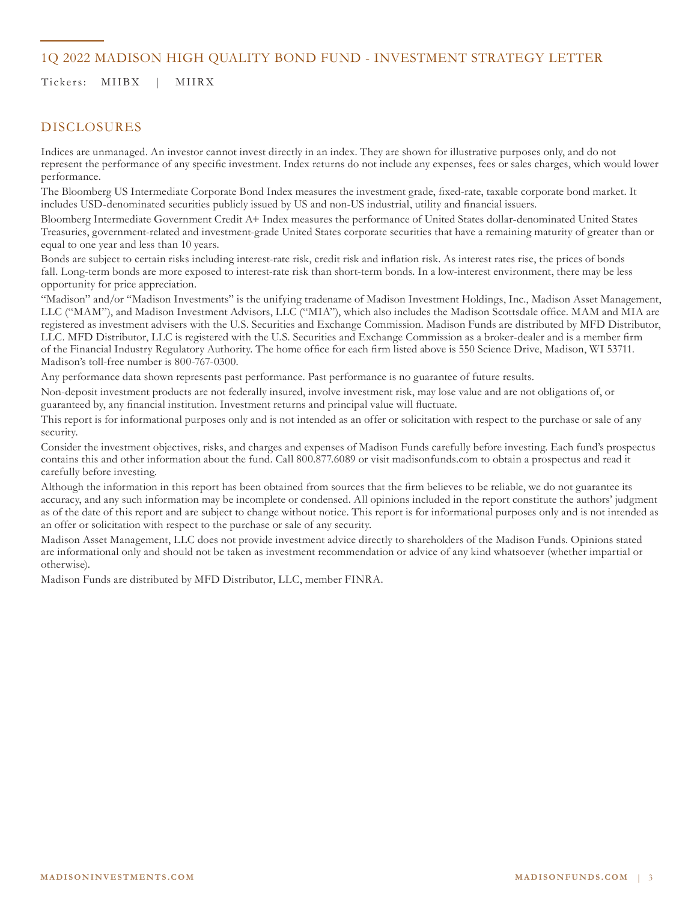## 1Q 2022 MADISON HIGH QUALITY BOND FUND - INVESTMENT STRATEGY LETTER

Tickers: MIIBX | MIIRX

# DISCLOSURES

Indices are unmanaged. An investor cannot invest directly in an index. They are shown for illustrative purposes only, and do not represent the performance of any specific investment. Index returns do not include any expenses, fees or sales charges, which would lower performance.

The Bloomberg US Intermediate Corporate Bond Index measures the investment grade, fixed-rate, taxable corporate bond market. It includes USD-denominated securities publicly issued by US and non-US industrial, utility and financial issuers.

Bloomberg Intermediate Government Credit A+ Index measures the performance of United States dollar-denominated United States Treasuries, government-related and investment-grade United States corporate securities that have a remaining maturity of greater than or equal to one year and less than 10 years.

Bonds are subject to certain risks including interest-rate risk, credit risk and inflation risk. As interest rates rise, the prices of bonds fall. Long-term bonds are more exposed to interest-rate risk than short-term bonds. In a low-interest environment, there may be less opportunity for price appreciation.

"Madison" and/or "Madison Investments" is the unifying tradename of Madison Investment Holdings, Inc., Madison Asset Management, LLC ("MAM"), and Madison Investment Advisors, LLC ("MIA"), which also includes the Madison Scottsdale office. MAM and MIA are registered as investment advisers with the U.S. Securities and Exchange Commission. Madison Funds are distributed by MFD Distributor, LLC. MFD Distributor, LLC is registered with the U.S. Securities and Exchange Commission as a broker-dealer and is a member firm of the Financial Industry Regulatory Authority. The home office for each firm listed above is 550 Science Drive, Madison, WI 53711. Madison's toll-free number is 800-767-0300.

Any performance data shown represents past performance. Past performance is no guarantee of future results.

Non-deposit investment products are not federally insured, involve investment risk, may lose value and are not obligations of, or guaranteed by, any financial institution. Investment returns and principal value will fluctuate.

This report is for informational purposes only and is not intended as an offer or solicitation with respect to the purchase or sale of any security.

Consider the investment objectives, risks, and charges and expenses of Madison Funds carefully before investing. Each fund's prospectus contains this and other information about the fund. Call 800.877.6089 or visit madisonfunds.com to obtain a prospectus and read it carefully before investing.

Although the information in this report has been obtained from sources that the firm believes to be reliable, we do not guarantee its accuracy, and any such information may be incomplete or condensed. All opinions included in the report constitute the authors' judgment as of the date of this report and are subject to change without notice. This report is for informational purposes only and is not intended as an offer or solicitation with respect to the purchase or sale of any security.

Madison Asset Management, LLC does not provide investment advice directly to shareholders of the Madison Funds. Opinions stated are informational only and should not be taken as investment recommendation or advice of any kind whatsoever (whether impartial or otherwise).

Madison Funds are distributed by MFD Distributor, LLC, member FINRA.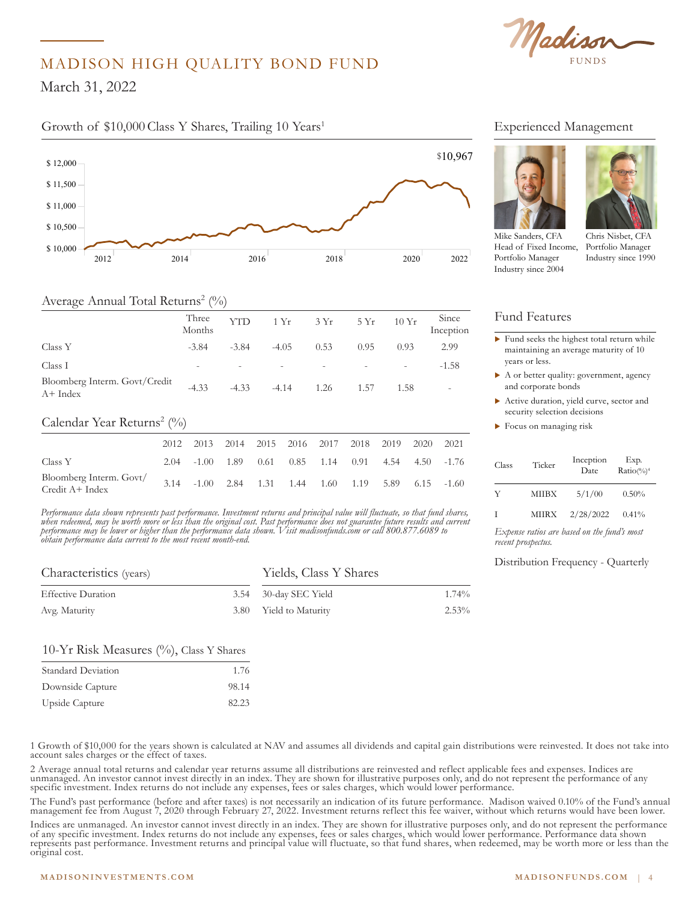

# MADISON HIGH QUALITY BOND FUND FUND

March 31, 2022

# Growth of \$10,000 Class Y Shares, Trailing 10 Years<sup>1</sup> Experienced Management



# Average Annual Total Returns<sup>2</sup> (%)

|                                            | Three<br>Months          | <b>YTD</b> |         | $1 Yr$ $3 Yr$ $5 Yr$     |        | 10Yr                     | Since<br>Inception |
|--------------------------------------------|--------------------------|------------|---------|--------------------------|--------|--------------------------|--------------------|
| Class Y                                    | $-3.84$                  | $-3.84$    | $-4.05$ | 0.53                     | 0.95   | 0.93                     | 2.99               |
| Class I                                    | $\overline{\phantom{a}}$ |            |         | $\overline{\phantom{a}}$ | $\sim$ | $\overline{\phantom{a}}$ | $-1.58$            |
| Bloomberg Interm. Govt/Credit<br>$A+Index$ | $-4.33$                  | $-4.33$    | $-4.14$ | 1.26                     | 1.57   | 1.58                     | $\qquad \qquad$    |

#### Calendar Year Returns<sup>2</sup> (%) \$ 10,750

|                                            | 2012 2013 2014 2015 2016 2017 2018 2019 2020        |  |  |  | 2021 |
|--------------------------------------------|-----------------------------------------------------|--|--|--|------|
| Class Y                                    | 2.04 -1.00 1.89 0.61 0.85 1.14 0.91 4.54 4.50 -1.76 |  |  |  |      |
| Bloomberg Interm. Govt/<br>Credit A+ Index | 3.14 -1.00 2.84 1.31 1.44 1.60 1.19 5.89 6.15 -1.60 |  |  |  |      |

*Performance data shown represents past performance. Investment returns and principal value will fluctuate, so that fund shares,*  \$ 13,000 *when redeemed, may be worth more or less than the original cost. Past performance does not guarantee future results and current*  \$ 12,250 *performance may be lower or higher than the performance data shown. Visit madisonfunds.com or call 800.877.6089 to*  \$ 11,500 *obtain performance data current to the most recent month-end.*

Madison Core Bond Y 12,364

| Characteristics (years)   | Yields, Class Y Shares |       |  |  |  |
|---------------------------|------------------------|-------|--|--|--|
| <b>Effective Duration</b> | 3.54 30-day SEC Yield  | 1.74% |  |  |  |
| Avg. Maturity             | 3.80 Yield to Maturity | 2.53% |  |  |  |

## 10-Yr Risk Measures  $(\%)$ , Class Y Shares

| Standard Deviation | 1.76  |
|--------------------|-------|
| Downside Capture   | 98.14 |
| Upside Capture     | 82.23 |

Experienced Management





Mike Sanders, CFA Head of Fixed Income, Portfolio Manager Industry since 2004

Chris Nisbet, CFA Portfolio Manager Manager Industry since 1990

#### Fund Features Fund Features

\$ 13,000

- $\blacktriangleright$  Fund seeks the highest total return while maintaining an average maturity of 10 years or less. **11,500**
- A or better quality: government, agency and corporate bonds
- Active duration, yield curve, sector and security selection decisions
	- ▶ Focus on managing risk

*Expense ratios are based on the fund's most recent prospectus.*

#### Distribution Frequency - Quarterly

1 Growth of \$10,000 for the years shown is calculated at NAV and assumes all dividends and capital gain distributions were reinvested. It does not take into account sales charges or the effect of taxes.

2 Average annual total returns and calendar year returns assume all distributions are reinvested and reflect applicable fees and expenses. Indices are unmanaged. An investor cannot invest directly in an index. They are shown for illustrative purposes only, and do not represent the performance of any specific investment. Index returns do not include any expenses, fees or sales charges, which would lower performance.

The Fund's past performance (before and after taxes) is not necessarily an indication of its future performance. Madison waived 0.10% of the Fund's annual The Fund's past performance (before and after taxes) is not necessarily an indication of its future performance. Madison waived 0.10% of the Fund's annua<br>management fee from August 7, 2020 through February 27, 2022. Invest

Indices are unmanaged. An investor cannot invest directly in an index. They are shown for illustrative purposes only, and do not represent the performance of any specific investment. Index returns do not include any expenses, fees or sales charges, which would lower performance. Performance data shown represents past performance. Investment returns and principal value will fluctuate, so that fund shares, when redeemed, may be worth more or less than the original cost.